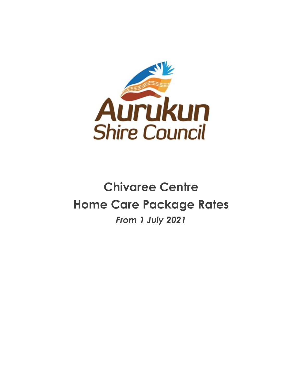

## **Chivaree Centre Home Care Package Rates** *From 1 July 2021*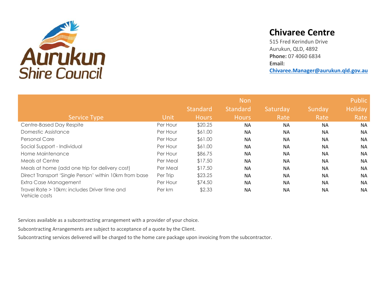

## **Chivaree Centre**

515 Fred Kerindun Drive Aurukun, QLD, 4892 **Phone:** 07 4060 6834 **Email: Chivaree.Manager@aurukun.qld.gov.au**

|                                                               |          |                 |                 | Public    |           |                |
|---------------------------------------------------------------|----------|-----------------|-----------------|-----------|-----------|----------------|
|                                                               |          | <b>Standard</b> | <b>Standard</b> | Saturday  | Sunday    | <b>Holiday</b> |
| <b>Service Type</b>                                           | Unit     | <b>Hours</b>    | <b>Hours</b>    | Rate      | Rate      | Rate           |
| Centre-Based Day Respite                                      | Per Hour | \$20.25         | <b>NA</b>       | <b>NA</b> | <b>NA</b> | <b>NA</b>      |
| Domestic Assistance                                           | Per Hour | \$61.00         | <b>NA</b>       | <b>NA</b> | <b>NA</b> | <b>NA</b>      |
| <b>Personal Care</b>                                          | Per Hour | \$61.00         | <b>NA</b>       | <b>NA</b> | <b>NA</b> | <b>NA</b>      |
| Social Support - Individual                                   | Per Hour | \$61.00         | <b>NA</b>       | <b>NA</b> | <b>NA</b> | <b>NA</b>      |
| Home Maintenance                                              | Per Hour | \$86.75         | <b>NA</b>       | <b>NA</b> | <b>NA</b> | <b>NA</b>      |
| Meals at Centre                                               | Per Meal | \$17.50         | <b>NA</b>       | <b>NA</b> | <b>NA</b> | <b>NA</b>      |
| Meals at home (add one trip for delivery cost)                | Per Meal | \$17.50         | <b>NA</b>       | <b>NA</b> | <b>NA</b> | <b>NA</b>      |
| Direct Transport 'Single Person' within 10km from base        | Per Trip | \$23.25         | <b>NA</b>       | <b>NA</b> | <b>NA</b> | <b>NA</b>      |
| Extra Case Management                                         | Per Hour | \$74.50         | <b>NA</b>       | <b>NA</b> | <b>NA</b> | <b>NA</b>      |
| Travel Rate > 10km: includes Driver time and<br>Vehicle costs | Per km   | \$2.33          | <b>NA</b>       | <b>NA</b> | <b>NA</b> | <b>NA</b>      |

Services available as a subcontracting arrangement with a provider of your choice.

Subcontracting Arrangements are subject to acceptance of a quote by the Client.

Subcontracting services delivered will be charged to the home care package upon invoicing from the subcontractor.